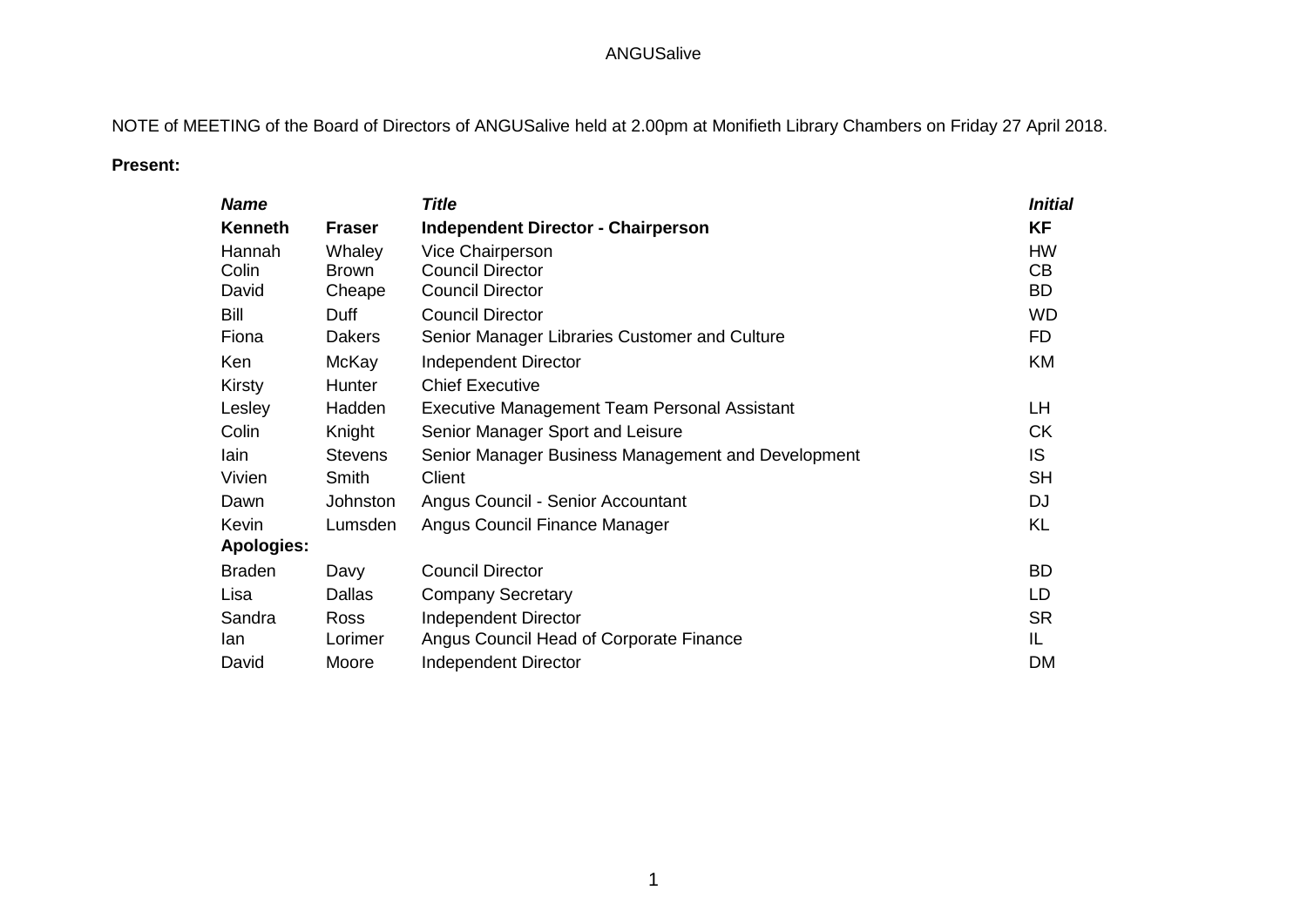## ANGUSalive

NOTE of MEETING of the Board of Directors of ANGUSalive held at 2.00pm at Monifieth Library Chambers on Friday 27 April 2018.

## **Present:**

| <b>Name</b>       |                | <b>Title</b>                                       | <b>Initial</b> |
|-------------------|----------------|----------------------------------------------------|----------------|
| <b>Kenneth</b>    | <b>Fraser</b>  | <b>Independent Director - Chairperson</b>          | <b>KF</b>      |
| Hannah            | Whaley         | <b>Vice Chairperson</b>                            | <b>HW</b>      |
| Colin             | <b>Brown</b>   | <b>Council Director</b>                            | CВ             |
| David             | Cheape         | <b>Council Director</b>                            | BD             |
| Bill              | Duff           | <b>Council Director</b>                            | <b>WD</b>      |
| Fiona             | <b>Dakers</b>  | Senior Manager Libraries Customer and Culture      | FD.            |
| Ken               | McKay          | Independent Director                               | KM             |
| Kirsty            | Hunter         | <b>Chief Executive</b>                             |                |
| Lesley            | Hadden         | Executive Management Team Personal Assistant       | LН             |
| Colin             | Knight         | Senior Manager Sport and Leisure                   | <b>CK</b>      |
| lain              | <b>Stevens</b> | Senior Manager Business Management and Development | IS.            |
| Vivien            | Smith          | Client                                             | <b>SH</b>      |
| Dawn              | Johnston       | Angus Council - Senior Accountant                  | <b>DJ</b>      |
| Kevin             | Lumsden        | Angus Council Finance Manager                      | KL             |
| <b>Apologies:</b> |                |                                                    |                |
| <b>Braden</b>     | Davy           | <b>Council Director</b>                            | <b>BD</b>      |
| Lisa              | <b>Dallas</b>  | <b>Company Secretary</b>                           | LD             |
| Sandra            | <b>Ross</b>    | <b>Independent Director</b>                        | <b>SR</b>      |
| lan               | Lorimer        | Angus Council Head of Corporate Finance            | IL             |
| David             | Moore          | <b>Independent Director</b>                        | DM             |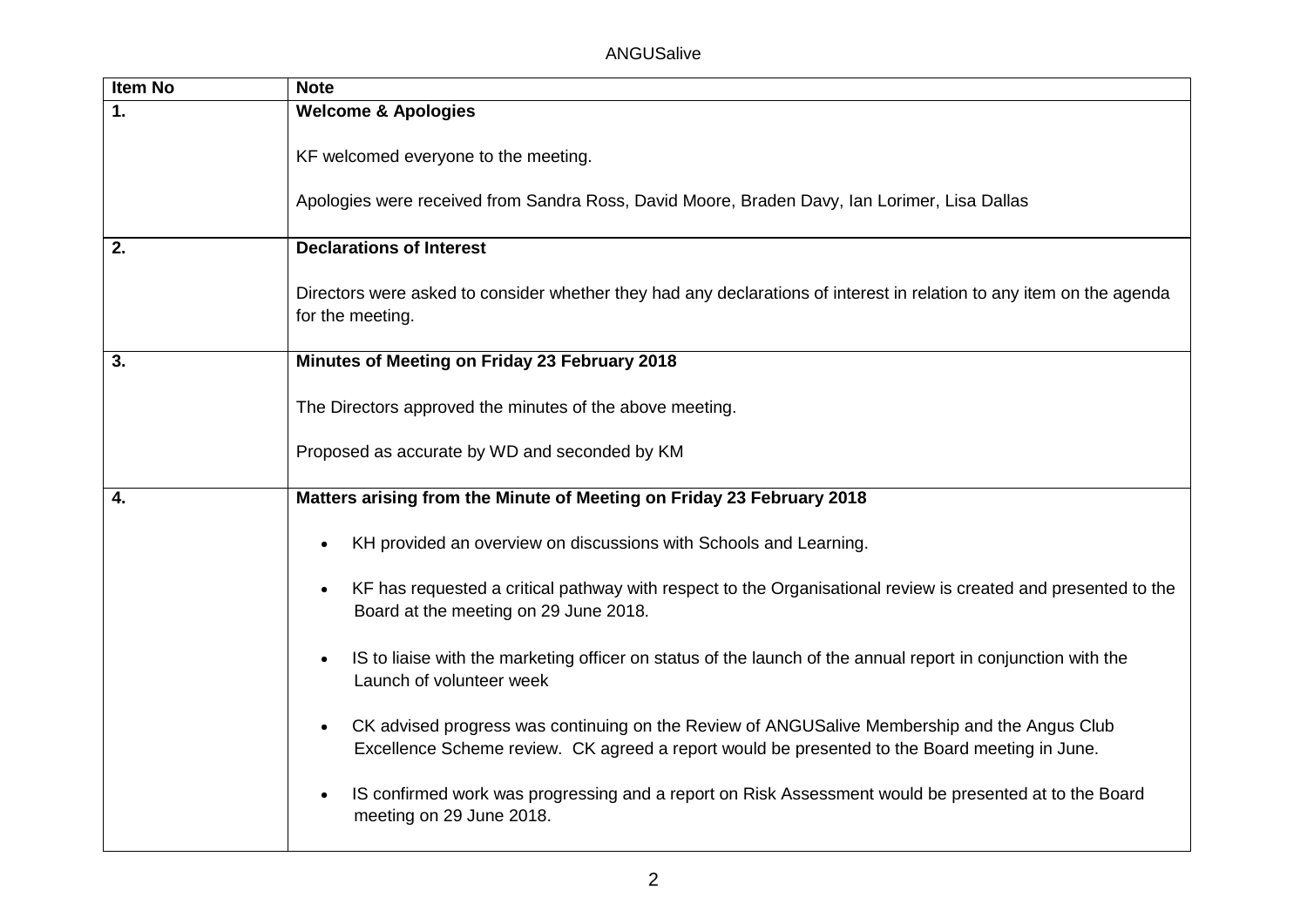| <b>Item No</b> | <b>Note</b>                                                                                                                                                                                                |
|----------------|------------------------------------------------------------------------------------------------------------------------------------------------------------------------------------------------------------|
| $\mathbf 1$ .  | <b>Welcome &amp; Apologies</b>                                                                                                                                                                             |
|                | KF welcomed everyone to the meeting.                                                                                                                                                                       |
|                | Apologies were received from Sandra Ross, David Moore, Braden Davy, Ian Lorimer, Lisa Dallas                                                                                                               |
| 2.             | <b>Declarations of Interest</b>                                                                                                                                                                            |
|                | Directors were asked to consider whether they had any declarations of interest in relation to any item on the agenda<br>for the meeting.                                                                   |
| 3.             | Minutes of Meeting on Friday 23 February 2018                                                                                                                                                              |
|                | The Directors approved the minutes of the above meeting.                                                                                                                                                   |
|                | Proposed as accurate by WD and seconded by KM                                                                                                                                                              |
| 4.             | Matters arising from the Minute of Meeting on Friday 23 February 2018                                                                                                                                      |
|                | KH provided an overview on discussions with Schools and Learning.                                                                                                                                          |
|                | KF has requested a critical pathway with respect to the Organisational review is created and presented to the<br>$\bullet$<br>Board at the meeting on 29 June 2018.                                        |
|                | IS to liaise with the marketing officer on status of the launch of the annual report in conjunction with the<br>$\bullet$<br>Launch of volunteer week                                                      |
|                | CK advised progress was continuing on the Review of ANGUSalive Membership and the Angus Club<br>$\bullet$<br>Excellence Scheme review. CK agreed a report would be presented to the Board meeting in June. |
|                | IS confirmed work was progressing and a report on Risk Assessment would be presented at to the Board<br>$\bullet$<br>meeting on 29 June 2018.                                                              |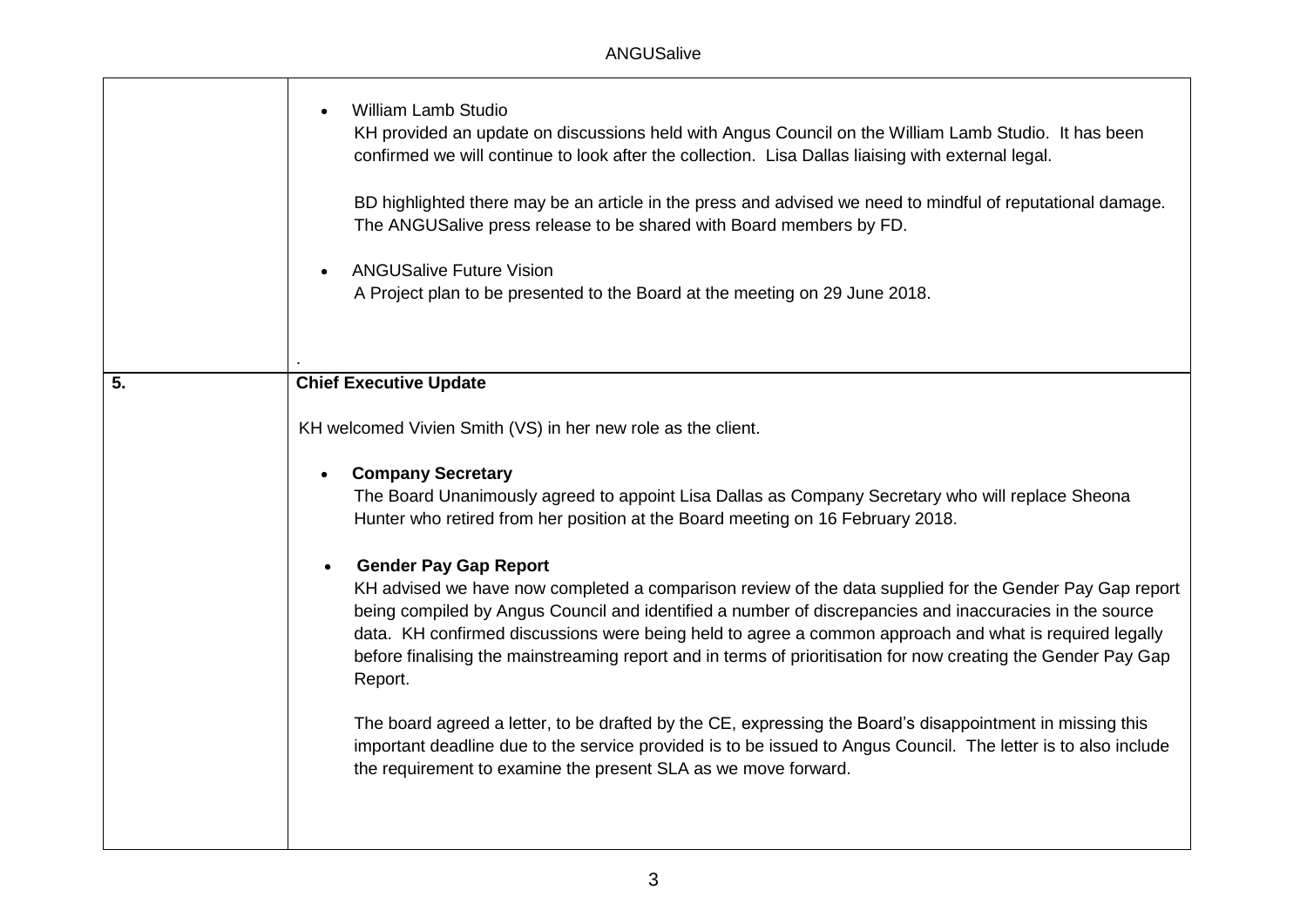|    | <b>William Lamb Studio</b><br>KH provided an update on discussions held with Angus Council on the William Lamb Studio. It has been<br>confirmed we will continue to look after the collection. Lisa Dallas liaising with external legal.<br>BD highlighted there may be an article in the press and advised we need to mindful of reputational damage.<br>The ANGUSalive press release to be shared with Board members by FD.<br><b>ANGUSalive Future Vision</b><br>A Project plan to be presented to the Board at the meeting on 29 June 2018. |
|----|-------------------------------------------------------------------------------------------------------------------------------------------------------------------------------------------------------------------------------------------------------------------------------------------------------------------------------------------------------------------------------------------------------------------------------------------------------------------------------------------------------------------------------------------------|
| 5. | <b>Chief Executive Update</b>                                                                                                                                                                                                                                                                                                                                                                                                                                                                                                                   |
|    | KH welcomed Vivien Smith (VS) in her new role as the client.                                                                                                                                                                                                                                                                                                                                                                                                                                                                                    |
|    | <b>Company Secretary</b><br>$\bullet$<br>The Board Unanimously agreed to appoint Lisa Dallas as Company Secretary who will replace Sheona<br>Hunter who retired from her position at the Board meeting on 16 February 2018.                                                                                                                                                                                                                                                                                                                     |
|    | <b>Gender Pay Gap Report</b><br>$\bullet$<br>KH advised we have now completed a comparison review of the data supplied for the Gender Pay Gap report<br>being compiled by Angus Council and identified a number of discrepancies and inaccuracies in the source<br>data. KH confirmed discussions were being held to agree a common approach and what is required legally<br>before finalising the mainstreaming report and in terms of prioritisation for now creating the Gender Pay Gap<br>Report.                                           |
|    | The board agreed a letter, to be drafted by the CE, expressing the Board's disappointment in missing this<br>important deadline due to the service provided is to be issued to Angus Council. The letter is to also include<br>the requirement to examine the present SLA as we move forward.                                                                                                                                                                                                                                                   |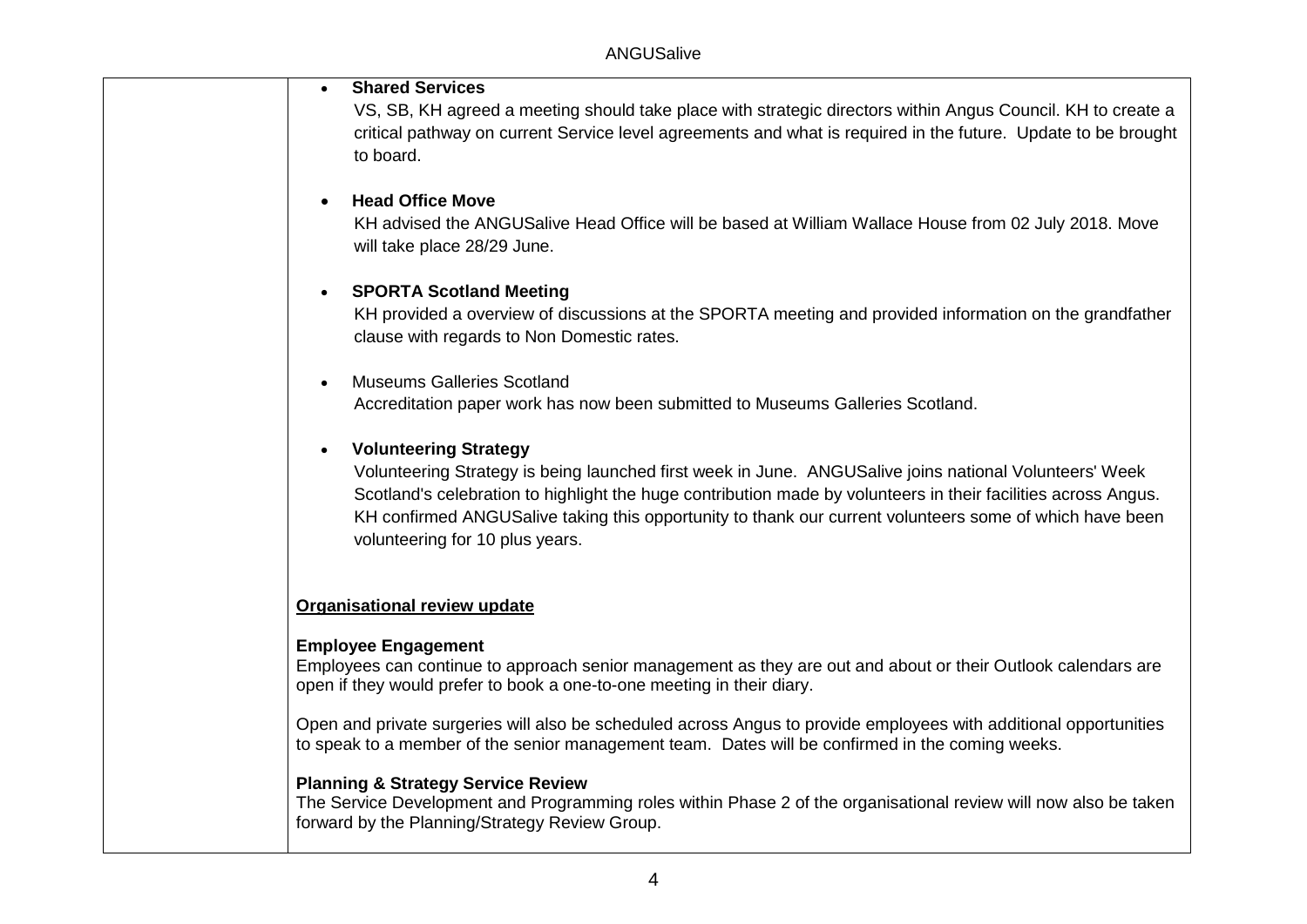critical pathway on current Service level agreements and what is required in the future. Update to be brought **Shared Services**  VS, SB, KH agreed a meeting should take place with strategic directors within Angus Council. KH to create a to board.

#### **Head Office Move**

 KH advised the ANGUSalive Head Office will be based at William Wallace House from 02 July 2018. Move will take place 28/29 June.

## **SPORTA Scotland Meeting**

 KH provided a overview of discussions at the SPORTA meeting and provided information on the grandfather clause with regards to Non Domestic rates.

#### Museums Galleries Scotland

Accreditation paper work has now been submitted to Museums Galleries Scotland.

### **Volunteering Strategy**

 Volunteering Strategy is being launched first week in June. ANGUSalive joins national Volunteers' Week Scotland's celebration to highlight the huge contribution made by volunteers in their facilities across Angus. KH confirmed ANGUSalive taking this opportunity to thank our current volunteers some of which have been volunteering for 10 plus years.

# **Organisational review update**

### **Employee Engagement**

 Employees can continue to approach senior management as they are out and about or their Outlook calendars are open if they would prefer to book a one-to-one meeting in their diary.

 Open and private surgeries will also be scheduled across Angus to provide employees with additional opportunities to speak to a member of the senior management team. Dates will be confirmed in the coming weeks.

# **Planning & Strategy Service Review**

 The Service Development and Programming roles within Phase 2 of the organisational review will now also be taken forward by the Planning/Strategy Review Group.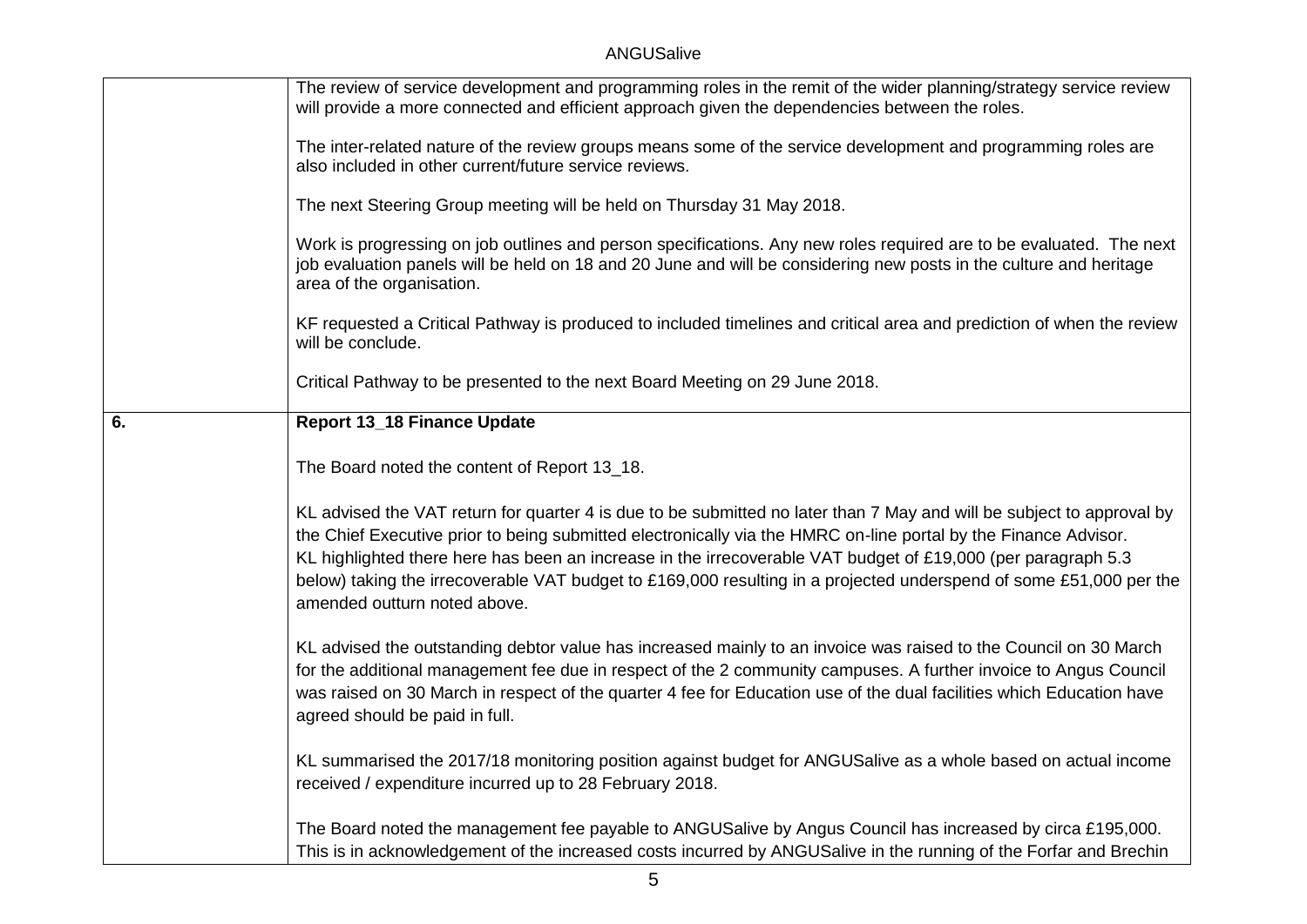## ANGUSalive

|    | The review of service development and programming roles in the remit of the wider planning/strategy service review<br>will provide a more connected and efficient approach given the dependencies between the roles.                                                                                                                                                                                                                                                                                           |
|----|----------------------------------------------------------------------------------------------------------------------------------------------------------------------------------------------------------------------------------------------------------------------------------------------------------------------------------------------------------------------------------------------------------------------------------------------------------------------------------------------------------------|
|    | The inter-related nature of the review groups means some of the service development and programming roles are<br>also included in other current/future service reviews.                                                                                                                                                                                                                                                                                                                                        |
|    | The next Steering Group meeting will be held on Thursday 31 May 2018.                                                                                                                                                                                                                                                                                                                                                                                                                                          |
|    | Work is progressing on job outlines and person specifications. Any new roles required are to be evaluated. The next<br>job evaluation panels will be held on 18 and 20 June and will be considering new posts in the culture and heritage<br>area of the organisation.                                                                                                                                                                                                                                         |
|    | KF requested a Critical Pathway is produced to included timelines and critical area and prediction of when the review<br>will be conclude.                                                                                                                                                                                                                                                                                                                                                                     |
|    | Critical Pathway to be presented to the next Board Meeting on 29 June 2018.                                                                                                                                                                                                                                                                                                                                                                                                                                    |
| 6. | <b>Report 13_18 Finance Update</b>                                                                                                                                                                                                                                                                                                                                                                                                                                                                             |
|    | The Board noted the content of Report 13_18.                                                                                                                                                                                                                                                                                                                                                                                                                                                                   |
|    | KL advised the VAT return for quarter 4 is due to be submitted no later than 7 May and will be subject to approval by<br>the Chief Executive prior to being submitted electronically via the HMRC on-line portal by the Finance Advisor.<br>KL highlighted there here has been an increase in the irrecoverable VAT budget of £19,000 (per paragraph 5.3<br>below) taking the irrecoverable VAT budget to £169,000 resulting in a projected underspend of some £51,000 per the<br>amended outturn noted above. |
|    | KL advised the outstanding debtor value has increased mainly to an invoice was raised to the Council on 30 March<br>for the additional management fee due in respect of the 2 community campuses. A further invoice to Angus Council<br>was raised on 30 March in respect of the quarter 4 fee for Education use of the dual facilities which Education have<br>agreed should be paid in full.                                                                                                                 |
|    | KL summarised the 2017/18 monitoring position against budget for ANGUSalive as a whole based on actual income<br>received / expenditure incurred up to 28 February 2018.                                                                                                                                                                                                                                                                                                                                       |
|    | The Board noted the management fee payable to ANGUSalive by Angus Council has increased by circa £195,000.<br>This is in acknowledgement of the increased costs incurred by ANGUSalive in the running of the Forfar and Brechin                                                                                                                                                                                                                                                                                |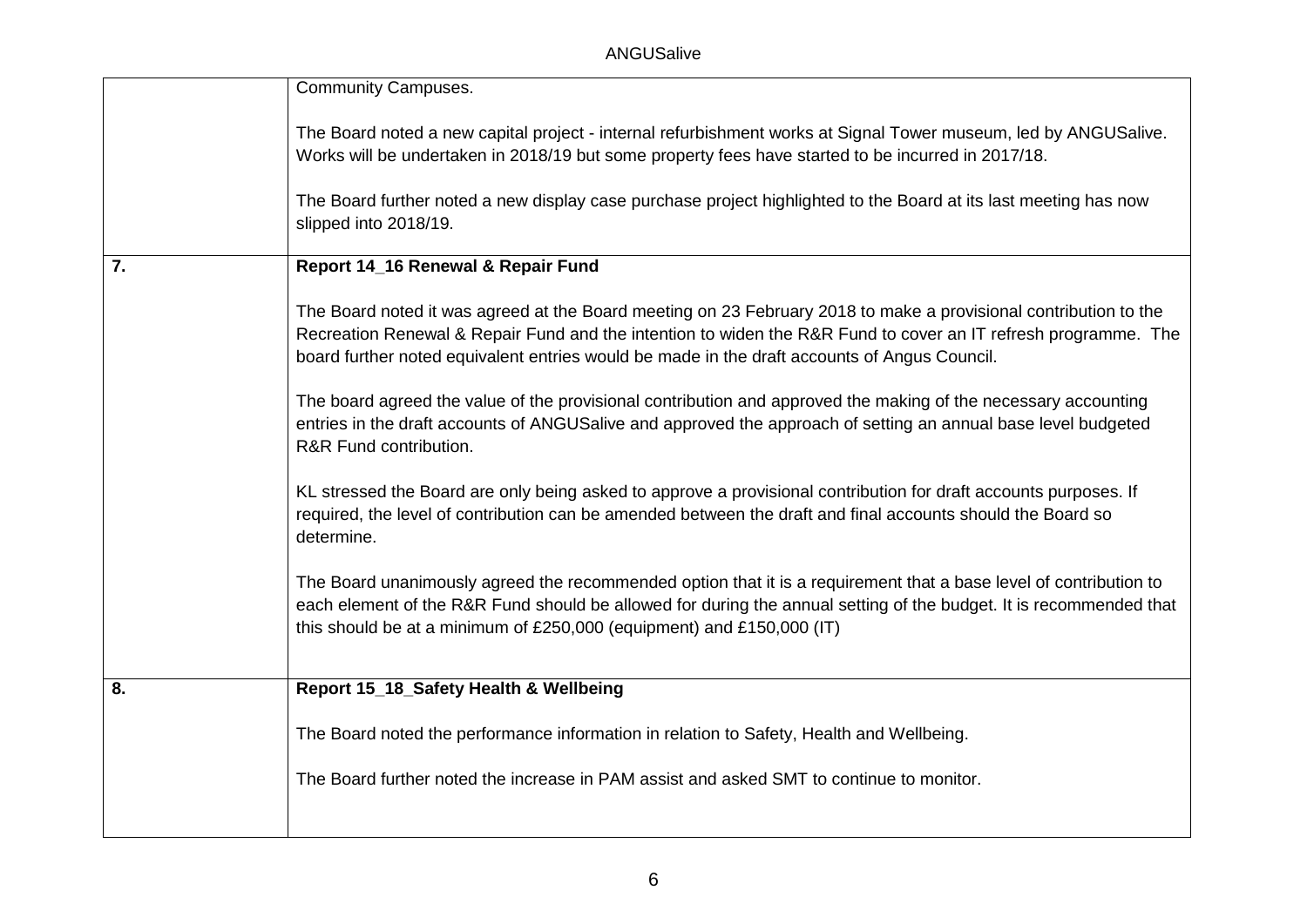|    | <b>Community Campuses.</b>                                                                                                                                                                                                                                                                                                         |
|----|------------------------------------------------------------------------------------------------------------------------------------------------------------------------------------------------------------------------------------------------------------------------------------------------------------------------------------|
|    |                                                                                                                                                                                                                                                                                                                                    |
|    | The Board noted a new capital project - internal refurbishment works at Signal Tower museum, led by ANGUSalive.                                                                                                                                                                                                                    |
|    | Works will be undertaken in 2018/19 but some property fees have started to be incurred in 2017/18.                                                                                                                                                                                                                                 |
|    | The Board further noted a new display case purchase project highlighted to the Board at its last meeting has now<br>slipped into 2018/19.                                                                                                                                                                                          |
| 7. | Report 14_16 Renewal & Repair Fund                                                                                                                                                                                                                                                                                                 |
|    | The Board noted it was agreed at the Board meeting on 23 February 2018 to make a provisional contribution to the<br>Recreation Renewal & Repair Fund and the intention to widen the R&R Fund to cover an IT refresh programme. The<br>board further noted equivalent entries would be made in the draft accounts of Angus Council. |
|    | The board agreed the value of the provisional contribution and approved the making of the necessary accounting<br>entries in the draft accounts of ANGUSalive and approved the approach of setting an annual base level budgeted<br>R&R Fund contribution.                                                                         |
|    | KL stressed the Board are only being asked to approve a provisional contribution for draft accounts purposes. If<br>required, the level of contribution can be amended between the draft and final accounts should the Board so<br>determine.                                                                                      |
|    | The Board unanimously agreed the recommended option that it is a requirement that a base level of contribution to<br>each element of the R&R Fund should be allowed for during the annual setting of the budget. It is recommended that<br>this should be at a minimum of £250,000 (equipment) and £150,000 (IT)                   |
| 8. | Report 15_18_Safety Health & Wellbeing                                                                                                                                                                                                                                                                                             |
|    |                                                                                                                                                                                                                                                                                                                                    |
|    | The Board noted the performance information in relation to Safety, Health and Wellbeing.                                                                                                                                                                                                                                           |
|    | The Board further noted the increase in PAM assist and asked SMT to continue to monitor.                                                                                                                                                                                                                                           |